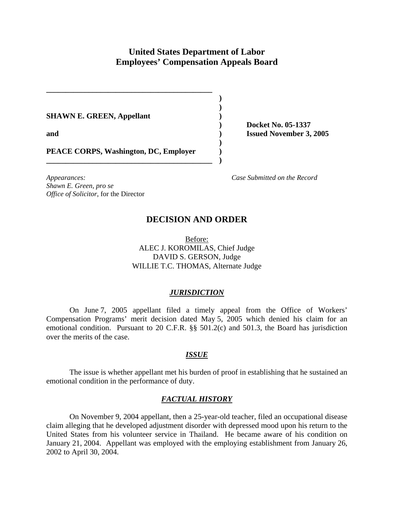# **United States Department of Labor Employees' Compensation Appeals Board**

**) ) ) ) ) ) ) )** 

**SHAWN E. GREEN, Appellant** 

**and** 

**Docket No. 05-1337 Issued November 3, 2005** 

**PEACE CORPS, Washington, DC, Employer** 

**\_\_\_\_\_\_\_\_\_\_\_\_\_\_\_\_\_\_\_\_\_\_\_\_\_\_\_\_\_\_\_\_\_\_\_\_\_\_\_\_\_\_\_**

**\_\_\_\_\_\_\_\_\_\_\_\_\_\_\_\_\_\_\_\_\_\_\_\_\_\_\_\_\_\_\_\_\_\_\_\_\_\_\_\_\_\_\_**

*Appearances: Case Submitted on the Record Shawn E. Green, pro se Office of Solicitor*, for the Director

## **DECISION AND ORDER**

Before: ALEC J. KOROMILAS, Chief Judge DAVID S. GERSON, Judge WILLIE T.C. THOMAS, Alternate Judge

## *JURISDICTION*

On June 7, 2005 appellant filed a timely appeal from the Office of Workers' Compensation Programs' merit decision dated May 5, 2005 which denied his claim for an emotional condition. Pursuant to 20 C.F.R. §§ 501.2(c) and 501.3, the Board has jurisdiction over the merits of the case.

## *ISSUE*

The issue is whether appellant met his burden of proof in establishing that he sustained an emotional condition in the performance of duty.

## *FACTUAL HISTORY*

On November 9, 2004 appellant, then a 25-year-old teacher, filed an occupational disease claim alleging that he developed adjustment disorder with depressed mood upon his return to the United States from his volunteer service in Thailand. He became aware of his condition on January 21, 2004. Appellant was employed with the employing establishment from January 26, 2002 to April 30, 2004.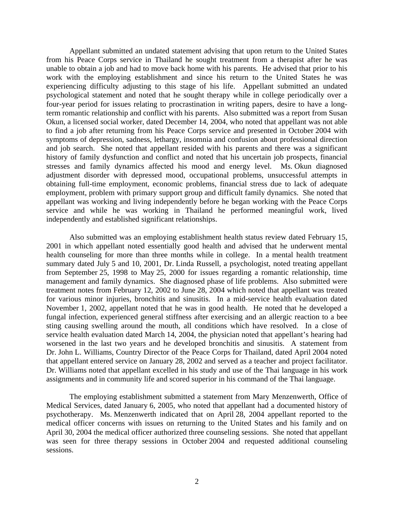Appellant submitted an undated statement advising that upon return to the United States from his Peace Corps service in Thailand he sought treatment from a therapist after he was unable to obtain a job and had to move back home with his parents. He advised that prior to his work with the employing establishment and since his return to the United States he was experiencing difficulty adjusting to this stage of his life. Appellant submitted an undated psychological statement and noted that he sought therapy while in college periodically over a four-year period for issues relating to procrastination in writing papers, desire to have a longterm romantic relationship and conflict with his parents. Also submitted was a report from Susan Okun, a licensed social worker, dated December 14, 2004, who noted that appellant was not able to find a job after returning from his Peace Corps service and presented in October 2004 with symptoms of depression, sadness, lethargy, insomnia and confusion about professional direction and job search. She noted that appellant resided with his parents and there was a significant history of family dysfunction and conflict and noted that his uncertain job prospects, financial stresses and family dynamics affected his mood and energy level. Ms. Okun diagnosed adjustment disorder with depressed mood, occupational problems, unsuccessful attempts in obtaining full-time employment, economic problems, financial stress due to lack of adequate employment, problem with primary support group and difficult family dynamics. She noted that appellant was working and living independently before he began working with the Peace Corps service and while he was working in Thailand he performed meaningful work, lived independently and established significant relationships.

 Also submitted was an employing establishment health status review dated February 15, 2001 in which appellant noted essentially good health and advised that he underwent mental health counseling for more than three months while in college. In a mental health treatment summary dated July 5 and 10, 2001, Dr. Linda Russell, a psychologist, noted treating appellant from September 25, 1998 to May 25, 2000 for issues regarding a romantic relationship, time management and family dynamics. She diagnosed phase of life problems. Also submitted were treatment notes from February 12, 2002 to June 28, 2004 which noted that appellant was treated for various minor injuries, bronchitis and sinusitis. In a mid-service health evaluation dated November 1, 2002, appellant noted that he was in good health. He noted that he developed a fungal infection, experienced general stiffness after exercising and an allergic reaction to a bee sting causing swelling around the mouth, all conditions which have resolved. In a close of service health evaluation dated March 14, 2004, the physician noted that appellant's hearing had worsened in the last two years and he developed bronchitis and sinusitis. A statement from Dr. John L. Williams, Country Director of the Peace Corps for Thailand, dated April 2004 noted that appellant entered service on January 28, 2002 and served as a teacher and project facilitator. Dr. Williams noted that appellant excelled in his study and use of the Thai language in his work assignments and in community life and scored superior in his command of the Thai language.

 The employing establishment submitted a statement from Mary Menzenwerth, Office of Medical Services, dated January 6, 2005, who noted that appellant had a documented history of psychotherapy. Ms. Menzenwerth indicated that on April 28, 2004 appellant reported to the medical officer concerns with issues on returning to the United States and his family and on April 30, 2004 the medical officer authorized three counseling sessions. She noted that appellant was seen for three therapy sessions in October 2004 and requested additional counseling sessions.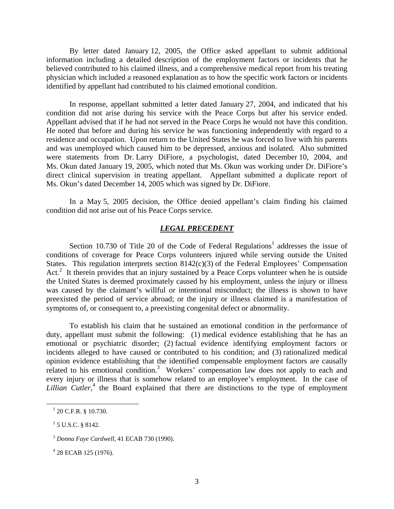By letter dated January 12, 2005, the Office asked appellant to submit additional information including a detailed description of the employment factors or incidents that he believed contributed to his claimed illness, and a comprehensive medical report from his treating physician which included a reasoned explanation as to how the specific work factors or incidents identified by appellant had contributed to his claimed emotional condition.

In response, appellant submitted a letter dated January 27, 2004, and indicated that his condition did not arise during his service with the Peace Corps but after his service ended. Appellant advised that if he had not served in the Peace Corps he would not have this condition. He noted that before and during his service he was functioning independently with regard to a residence and occupation. Upon return to the United States he was forced to live with his parents and was unemployed which caused him to be depressed, anxious and isolated. Also submitted were statements from Dr. Larry DiFiore, a psychologist, dated December 10, 2004, and Ms. Okun dated January 19, 2005, which noted that Ms. Okun was working under Dr. DiFiore's direct clinical supervision in treating appellant. Appellant submitted a duplicate report of Ms. Okun's dated December 14, 2005 which was signed by Dr. DiFiore.

In a May 5, 2005 decision, the Office denied appellant's claim finding his claimed condition did not arise out of his Peace Corps service.

### *LEGAL PRECEDENT*

Section 10.730 of Title 20 of the Code of Federal Regulations<sup>1</sup> addresses the issue of conditions of coverage for Peace Corps volunteers injured while serving outside the United States. This regulation interprets section  $8142(c)(3)$  of the Federal Employees' Compensation Act.<sup>2</sup> It therein provides that an injury sustained by a Peace Corps volunteer when he is outside the United States is deemed proximately caused by his employment, unless the injury or illness was caused by the claimant's willful or intentional misconduct; the illness is shown to have preexisted the period of service abroad; or the injury or illness claimed is a manifestation of symptoms of, or consequent to, a preexisting congenital defect or abnormality.

 To establish his claim that he sustained an emotional condition in the performance of duty, appellant must submit the following: (1) medical evidence establishing that he has an emotional or psychiatric disorder; (2) factual evidence identifying employment factors or incidents alleged to have caused or contributed to his condition; and (3) rationalized medical opinion evidence establishing that the identified compensable employment factors are causally related to his emotional condition.<sup>3</sup> Workers' compensation law does not apply to each and every injury or illness that is somehow related to an employee's employment. In the case of *Lillian Cutler*<sup>4</sup>, the Board explained that there are distinctions to the type of employment

 $\frac{1}{20}$  C.F.R. § 10.730.

 $2$  5 U.S.C. § 8142.

<sup>3</sup> *Donna Faye Cardwell,* 41 ECAB 730 (1990).

<sup>&</sup>lt;sup>4</sup> 28 ECAB 125 (1976).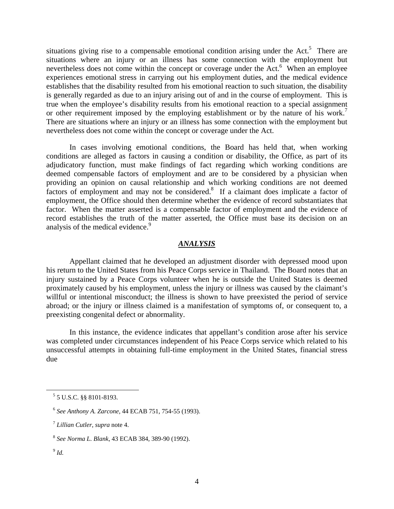situations giving rise to a compensable emotional condition arising under the Act.<sup>5</sup> There are situations where an injury or an illness has some connection with the employment but nevertheless does not come within the concept or coverage under the Act.<sup>6</sup> When an employee experiences emotional stress in carrying out his employment duties, and the medical evidence establishes that the disability resulted from his emotional reaction to such situation, the disability is generally regarded as due to an injury arising out of and in the course of employment. This is true when the employee's disability results from his emotional reaction to a special assignment or other requirement imposed by the employing establishment or by the nature of his work.<sup>7</sup> There are situations where an injury or an illness has some connection with the employment but nevertheless does not come within the concept or coverage under the Act.

 In cases involving emotional conditions, the Board has held that, when working conditions are alleged as factors in causing a condition or disability, the Office, as part of its adjudicatory function, must make findings of fact regarding which working conditions are deemed compensable factors of employment and are to be considered by a physician when providing an opinion on causal relationship and which working conditions are not deemed factors of employment and may not be considered.<sup>8</sup> If a claimant does implicate a factor of employment, the Office should then determine whether the evidence of record substantiates that factor. When the matter asserted is a compensable factor of employment and the evidence of record establishes the truth of the matter asserted, the Office must base its decision on an analysis of the medical evidence.<sup>9</sup>

## *ANALYSIS*

Appellant claimed that he developed an adjustment disorder with depressed mood upon his return to the United States from his Peace Corps service in Thailand. The Board notes that an injury sustained by a Peace Corps volunteer when he is outside the United States is deemed proximately caused by his employment, unless the injury or illness was caused by the claimant's willful or intentional misconduct; the illness is shown to have preexisted the period of service abroad; or the injury or illness claimed is a manifestation of symptoms of, or consequent to, a preexisting congenital defect or abnormality.

In this instance, the evidence indicates that appellant's condition arose after his service was completed under circumstances independent of his Peace Corps service which related to his unsuccessful attempts in obtaining full-time employment in the United States, financial stress due

 $9$   $Id.$ 

 <sup>5</sup> 5 U.S.C. §§ 8101-8193.

<sup>6</sup> *See Anthony A. Zarcone,* 44 ECAB 751, 754-55 (1993).

<sup>7</sup> *Lillian Cutler, supra* note 4.

<sup>8</sup> *See Norma L. Blank*, 43 ECAB 384, 389-90 (1992).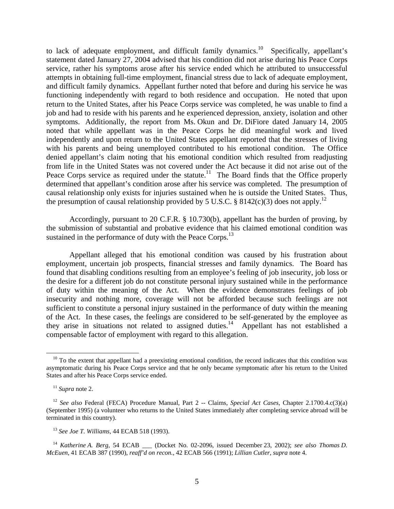to lack of adequate employment, and difficult family dynamics.<sup>10</sup> Specifically, appellant's statement dated January 27, 2004 advised that his condition did not arise during his Peace Corps service, rather his symptoms arose after his service ended which he attributed to unsuccessful attempts in obtaining full-time employment, financial stress due to lack of adequate employment, and difficult family dynamics. Appellant further noted that before and during his service he was functioning independently with regard to both residence and occupation. He noted that upon return to the United States, after his Peace Corps service was completed, he was unable to find a job and had to reside with his parents and he experienced depression, anxiety, isolation and other symptoms. Additionally, the report from Ms. Okun and Dr. DiFiore dated January 14, 2005 noted that while appellant was in the Peace Corps he did meaningful work and lived independently and upon return to the United States appellant reported that the stresses of living with his parents and being unemployed contributed to his emotional condition. The Office denied appellant's claim noting that his emotional condition which resulted from readjusting from life in the United States was not covered under the Act because it did not arise out of the Peace Corps service as required under the statute.<sup>11</sup> The Board finds that the Office properly determined that appellant's condition arose after his service was completed. The presumption of causal relationship only exists for injuries sustained when he is outside the United States. Thus, the presumption of causal relationship provided by 5 U.S.C. § 8142(c)(3) does not apply.<sup>12</sup>

Accordingly, pursuant to 20 C.F.R. § 10.730(b), appellant has the burden of proving, by the submission of substantial and probative evidence that his claimed emotional condition was sustained in the performance of duty with the Peace Corps.<sup>13</sup>

Appellant alleged that his emotional condition was caused by his frustration about employment, uncertain job prospects, financial stresses and family dynamics. The Board has found that disabling conditions resulting from an employee's feeling of job insecurity, job loss or the desire for a different job do not constitute personal injury sustained while in the performance of duty within the meaning of the Act. When the evidence demonstrates feelings of job insecurity and nothing more, coverage will not be afforded because such feelings are not sufficient to constitute a personal injury sustained in the performance of duty within the meaning of the Act. In these cases, the feelings are considered to be self-generated by the employee as they arise in situations not related to assigned duties.<sup>14</sup> Appellant has not established a compensable factor of employment with regard to this allegation.

 $10$  To the extent that appellant had a preexisting emotional condition, the record indicates that this condition was asymptomatic during his Peace Corps service and that he only became symptomatic after his return to the United States and after his Peace Corps service ended.

<sup>11</sup> *Supra* note 2.

<sup>12</sup> *See also* Federal (FECA) Procedure Manual, Part 2 -- Claims, *Special Act Cases*, Chapter 2.1700.4.c(3)(a) (September 1995) (a volunteer who returns to the United States immediately after completing service abroad will be terminated in this country).

<sup>13</sup> *See Joe T. Williams*, 44 ECAB 518 (1993).

<sup>&</sup>lt;sup>14</sup> *Katherine A. Berg,* 54 ECAB \_\_\_ (Docket No. 02-2096, issued December 23, 2002); see also Thomas D. *McEuen*, 41 ECAB 387 (1990), *reaff'd on recon.*, 42 ECAB 566 (1991); *Lillian Cutler*, *supra* note 4.